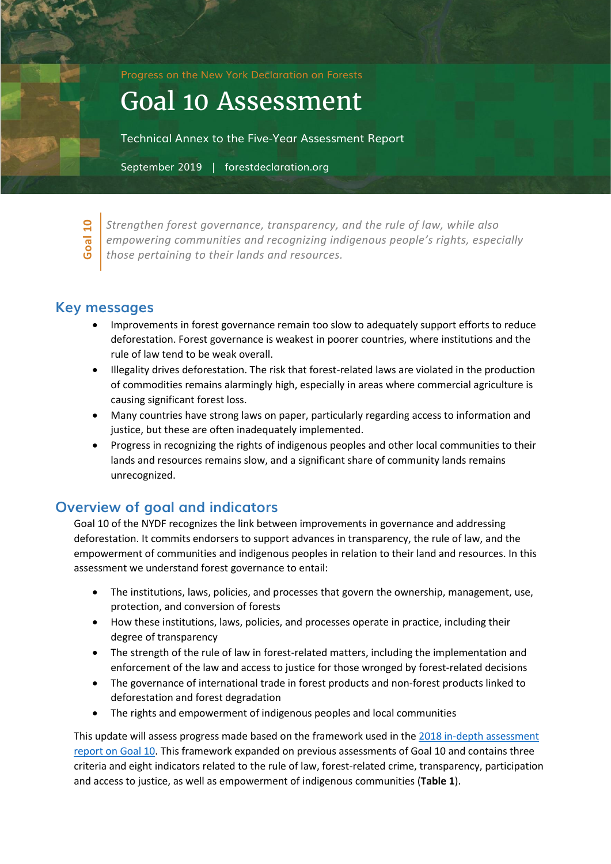Progress on the New York Declaration on Forests

# Goal 10 Assessment

Technical Annex to the Five-Year Assessment Report

September 2019 | forestdeclaration.org

**Goal 10**

*Strengthen forest governance, transparency, and the rule of law, while also empowering communities and recognizing indigenous people's rights, especially those pertaining to their lands and resources.*

## **Key messages**

- Improvements in forest governance remain too slow to adequately support efforts to reduce deforestation. Forest governance is weakest in poorer countries, where institutions and the rule of law tend to be weak overall.
- Illegality drives deforestation. The risk that forest-related laws are violated in the production of commodities remains alarmingly high, especially in areas where commercial agriculture is causing significant forest loss.
- Many countries have strong laws on paper, particularly regarding access to information and justice, but these are often inadequately implemented.
- Progress in recognizing the rights of indigenous peoples and other local communities to their lands and resources remains slow, and a significant share of community lands remains unrecognized.

## **Overview of goal and indicators**

Goal 10 of the NYDF recognizes the link between improvements in governance and addressing deforestation. It commits endorsers to support advances in transparency, the rule of law, and the empowerment of communities and indigenous peoples in relation to their land and resources. In this assessment we understand forest governance to entail:

- The institutions, laws, policies, and processes that govern the ownership, management, use, protection, and conversion of forests
- How these institutions, laws, policies, and processes operate in practice, including their degree of transparency
- The strength of the rule of law in forest-related matters, including the implementation and enforcement of the law and access to justice for those wronged by forest-related decisions
- The governance of international trade in forest products and non-forest products linked to deforestation and forest degradation
- The rights and empowerment of indigenous peoples and local communities

This update will assess progress made based on the framework used in the [2018 in-depth assessment](https://forestdeclaration.org/images/uploads/resource/2018_Goal10_FocusReport_Full.pdf) [report on Goal 10.](https://forestdeclaration.org/images/uploads/resource/2018_Goal10_FocusReport_Full.pdf) This framework expanded on previous assessments of Goal 10 and contains three criteria and eight indicators related to the rule of law, forest-related crime, transparency, participation and access to justice, as well as empowerment of indigenous communities (**Table 1**).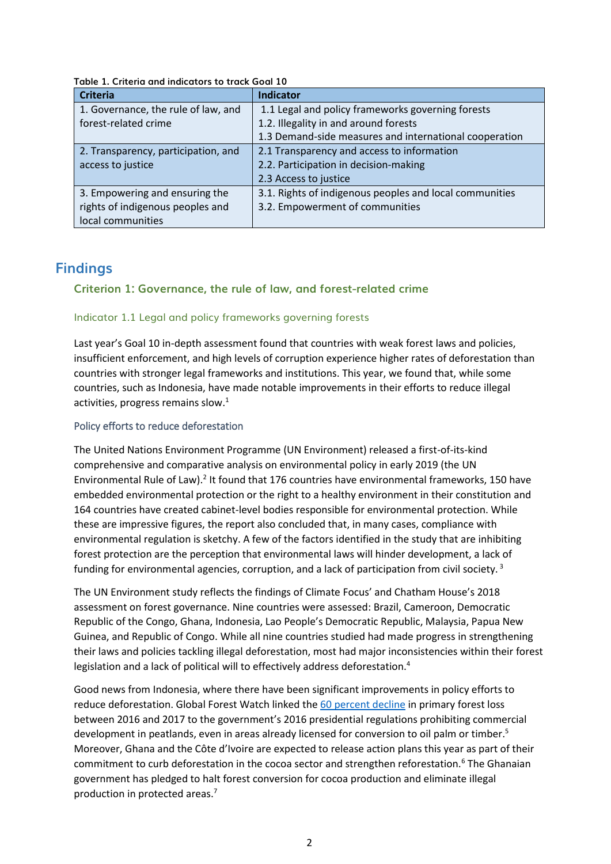| <b>Criteria</b>                     | <b>Indicator</b>                                        |
|-------------------------------------|---------------------------------------------------------|
| 1. Governance, the rule of law, and | 1.1 Legal and policy frameworks governing forests       |
| forest-related crime                | 1.2. Illegality in and around forests                   |
|                                     | 1.3 Demand-side measures and international cooperation  |
| 2. Transparency, participation, and | 2.1 Transparency and access to information              |
| access to justice                   | 2.2. Participation in decision-making                   |
|                                     | 2.3 Access to justice                                   |
| 3. Empowering and ensuring the      | 3.1. Rights of indigenous peoples and local communities |
| rights of indigenous peoples and    | 3.2. Empowerment of communities                         |
| local communities                   |                                                         |

#### **Table 1. Criteria and indicators to track Goal 10**

## **Findings**

#### **Criterion 1: Governance, the rule of law, and forest-related crime**

#### Indicator 1.1 Legal and policy frameworks governing forests

Last year's Goal 10 in-depth assessment found that countries with weak forest laws and policies, insufficient enforcement, and high levels of corruption experience higher rates of deforestation than countries with stronger legal frameworks and institutions. This year, we found that, while some countries, such as Indonesia, have made notable improvements in their efforts to reduce illegal activities, progress remains slow. $1$ 

#### Policy efforts to reduce deforestation

The United Nations Environment Programme (UN Environment) released a first-of-its-kind comprehensive and comparative analysis on environmental policy in early 2019 (the UN Environmental Rule of Law).<sup>2</sup> It found that 176 countries have environmental frameworks, 150 have embedded environmental protection or the right to a healthy environment in their constitution and 164 countries have created cabinet-level bodies responsible for environmental protection. While these are impressive figures, the report also concluded that, in many cases, compliance with environmental regulation is sketchy. A few of the factors identified in the study that are inhibiting forest protection are the perception that environmental laws will hinder development, a lack of funding for environmental agencies, corruption, and a lack of participation from civil society.<sup>3</sup>

The UN Environment study reflects the findings of Climate Focus' and Chatham House's 2018 assessment on forest governance. Nine countries were assessed: Brazil, Cameroon, Democratic Republic of the Congo, Ghana, Indonesia, Lao People's Democratic Republic, Malaysia, Papua New Guinea, and Republic of Congo. While all nine countries studied had made progress in strengthening their laws and policies tackling illegal deforestation, most had major inconsistencies within their forest legislation and a lack of political will to effectively address deforestation.<sup>4</sup>

Good news from Indonesia, where there have been significant improvements in policy efforts to reduce deforestation. Global Forest Watch linked the [60 percent decline](http://www.forestdeclaration.org/goals/goal-1) in primary forest loss between 2016 and 2017 to the government's 2016 presidential regulations prohibiting commercial development in peatlands, even in areas already licensed for conversion to oil palm or timber.<sup>5</sup> Moreover, Ghana and the Côte d'Ivoire are expected to release action plans this year as part of their commitment to curb deforestation in the cocoa sector and strengthen reforestation.<sup>6</sup> The Ghanaian government has pledged to halt forest conversion for cocoa production and eliminate illegal production in protected areas.7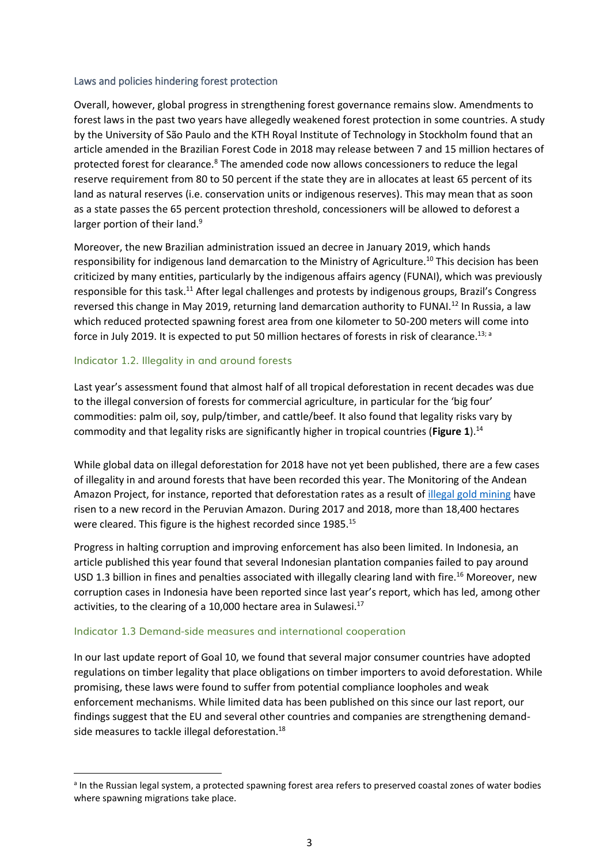#### Laws and policies hindering forest protection

Overall, however, global progress in strengthening forest governance remains slow. Amendments to forest laws in the past two years have allegedly weakened forest protection in some countries. A study by the University of São Paulo and the KTH Royal Institute of Technology in Stockholm found that an article amended in the Brazilian Forest Code in 2018 may release between 7 and 15 million hectares of protected forest for clearance.<sup>8</sup> The amended code now allows concessioners to reduce the legal reserve requirement from 80 to 50 percent if the state they are in allocates at least 65 percent of its land as natural reserves (i.e. conservation units or indigenous reserves). This may mean that as soon as a state passes the 65 percent protection threshold, concessioners will be allowed to deforest a larger portion of their land.<sup>9</sup>

Moreover, the new Brazilian administration issued an decree in January 2019, which hands responsibility for indigenous land demarcation to the Ministry of Agriculture.<sup>10</sup> This decision has been criticized by many entities, particularly by the indigenous affairs agency (FUNAI), which was previously responsible for this task.<sup>11</sup> After legal challenges and protests by indigenous groups, Brazil's Congress reversed this change in May 2019, returning land demarcation authority to FUNAI.<sup>12</sup> In Russia, a law which reduced protected spawning forest area from one kilometer to 50-200 meters will come into force in July 2019. It is expected to put 50 million hectares of forests in risk of clearance.<sup>13; a</sup>

#### Indicator 1.2. Illegality in and around forests

Last year's assessment found that almost half of all tropical deforestation in recent decades was due to the illegal conversion of forests for commercial agriculture, in particular for the 'big four' commodities: palm oil, soy, pulp/timber, and cattle/beef. It also found that legality risks vary by commodity and that legality risks are significantly higher in tropical countries (**[Figure 1](#page-3-0)**).<sup>14</sup>

While global data on illegal deforestation for 2018 have not yet been published, there are a few cases of illegality in and around forests that have been recorded this year. The Monitoring of the Andean Amazon Project, for instance, reported that deforestation rates as a result of [illegal gold mining](http://www.forestdeclaration.org/goals/goal-4) have risen to a new record in the Peruvian Amazon. During 2017 and 2018, more than 18,400 hectares were cleared. This figure is the highest recorded since 1985.<sup>15</sup>

Progress in halting corruption and improving enforcement has also been limited. In Indonesia, an article published this year found that several Indonesian plantation companies failed to pay around USD 1.3 billion in fines and penalties associated with illegally clearing land with fire.<sup>16</sup> Moreover, new corruption cases in Indonesia have been reported since last year's report, which has led, among other activities, to the clearing of a 10,000 hectare area in Sulawesi. $17$ 

#### Indicator 1.3 Demand-side measures and international cooperation

In our last update report of Goal 10, we found that several major consumer countries have adopted regulations on timber legality that place obligations on timber importers to avoid deforestation. While promising, these laws were found to suffer from potential compliance loopholes and weak enforcement mechanisms. While limited data has been published on this since our last report, our findings suggest that the EU and several other countries and companies are strengthening demandside measures to tackle illegal deforestation.<sup>18</sup>

<sup>&</sup>lt;sup>a</sup> In the Russian legal system, a protected spawning forest area refers to preserved coastal zones of water bodies where spawning migrations take place.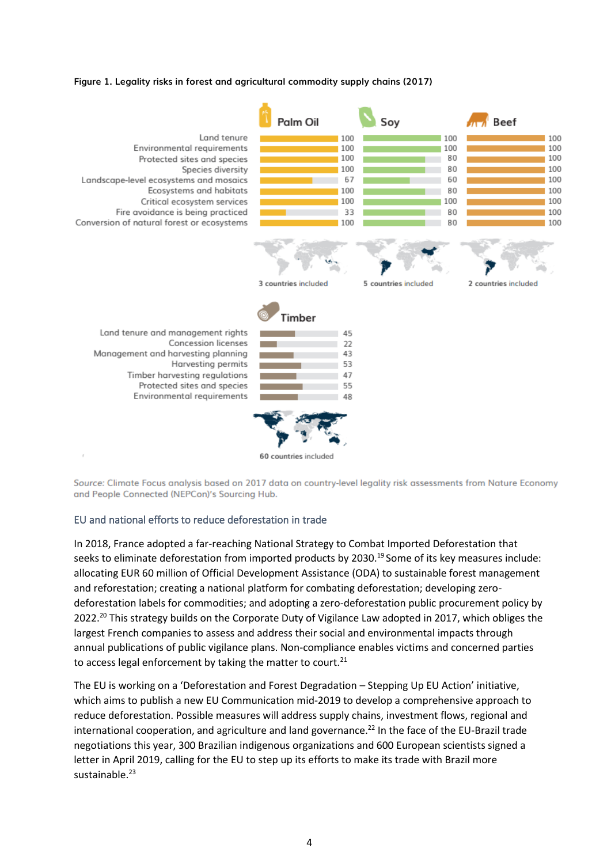#### <span id="page-3-0"></span>**Figure 1. Legality risks in forest and agricultural commodity supply chains (2017)**



Source: Climate Focus analysis based on 2017 data on country-level legality risk assessments from Nature Economy and People Connected (NEPCon)'s Sourcing Hub.

#### EU and national efforts to reduce deforestation in trade

In 2018, France adopted a far-reaching National Strategy to Combat Imported Deforestation that seeks to eliminate deforestation from imported products by 2030.<sup>19</sup> Some of its key measures include: allocating EUR 60 million of Official Development Assistance (ODA) to sustainable forest management and reforestation; creating a national platform for combating deforestation; developing zerodeforestation labels for commodities; and adopting a zero-deforestation public procurement policy by 2022.<sup>20</sup> This strategy builds on the Corporate Duty of Vigilance Law adopted in 2017, which obliges the largest French companies to assess and address their social and environmental impacts through annual publications of public vigilance plans. Non-compliance enables victims and concerned parties to access legal enforcement by taking the matter to court. $21$ 

The EU is working on a 'Deforestation and Forest Degradation – Stepping Up EU Action' initiative, which aims to publish a new EU Communication mid-2019 to develop a comprehensive approach to reduce deforestation. Possible measures will address supply chains, investment flows, regional and international cooperation, and agriculture and land governance.<sup>22</sup> In the face of the EU-Brazil trade negotiations this year, 300 Brazilian indigenous organizations and 600 European scientists signed a letter in April 2019, calling for the EU to step up its efforts to make its trade with Brazil more sustainable.<sup>23</sup>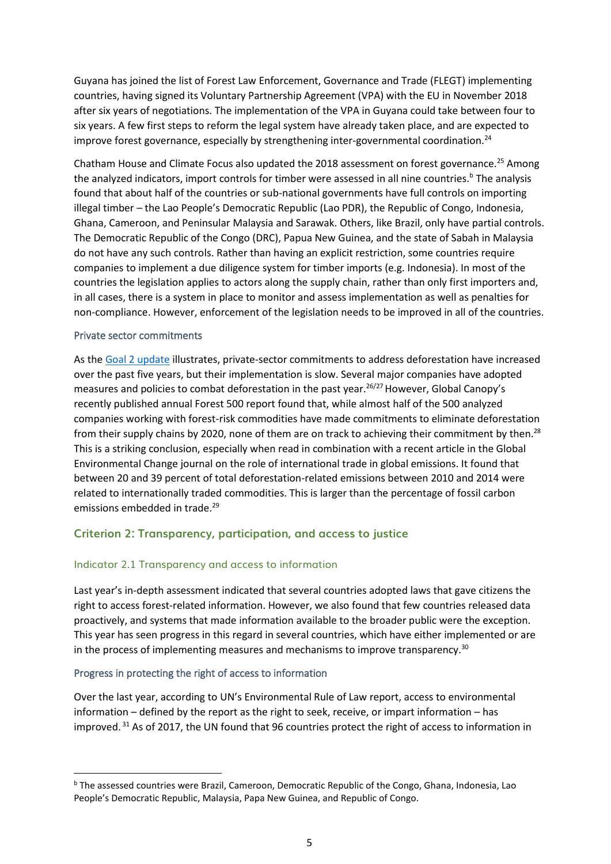Guyana has joined the list of Forest Law Enforcement, Governance and Trade (FLEGT) implementing countries, having signed its Voluntary Partnership Agreement (VPA) with the EU in November 2018 after six years of negotiations. The implementation of the VPA in Guyana could take between four to six years. A few first steps to reform the legal system have already taken place, and are expected to improve forest governance, especially by strengthening inter-governmental coordination.<sup>24</sup>

Chatham House and Climate Focus also updated the 2018 assessment on forest governance.<sup>25</sup> Among the analyzed indicators, import controls for timber were assessed in all nine countries.<sup>b</sup> The analysis found that about half of the countries or sub-national governments have full controls on importing illegal timber – the Lao People's Democratic Republic (Lao PDR), the Republic of Congo, Indonesia, Ghana, Cameroon, and Peninsular Malaysia and Sarawak. Others, like Brazil, only have partial controls. The Democratic Republic of the Congo (DRC), Papua New Guinea, and the state of Sabah in Malaysia do not have any such controls. Rather than having an explicit restriction, some countries require companies to implement a due diligence system for timber imports (e.g. Indonesia). In most of the countries the legislation applies to actors along the supply chain, rather than only first importers and, in all cases, there is a system in place to monitor and assess implementation as well as penalties for non-compliance. However, enforcement of the legislation needs to be improved in all of the countries.

#### Private sector commitments

As th[e Goal 2 update](file:///C:/Users/charlottestreck/Dropbox%20(Climate%20Focus)/All%20Projects/CFNA/719801%20-%20CLUA%20NYDF%20Assessment%202019/Goal%20www.forestdeclaration.org/goals/goal-2) illustrates, private-sector commitments to address deforestation have increased over the past five years, but their implementation is slow. Several major companies have adopted measures and policies to combat deforestation in the past year.<sup>26/27</sup> However, Global Canopy's recently published annual Forest 500 report found that, while almost half of the 500 analyzed companies working with forest-risk commodities have made commitments to eliminate deforestation from their supply chains by 2020, none of them are on track to achieving their commitment by then.<sup>28</sup> This is a striking conclusion, especially when read in combination with a recent article in the Global Environmental Change journal on the role of international trade in global emissions. It found that between 20 and 39 percent of total deforestation-related emissions between 2010 and 2014 were related to internationally traded commodities. This is larger than the percentage of fossil carbon emissions embedded in trade.<sup>29</sup>

### **Criterion 2: Transparency, participation, and access to justice**

#### Indicator 2.1 Transparency and access to information

Last year's in-depth assessment indicated that several countries adopted laws that gave citizens the right to access forest-related information. However, we also found that few countries released data proactively, and systems that made information available to the broader public were the exception. This year has seen progress in this regard in several countries, which have either implemented or are in the process of implementing measures and mechanisms to improve transparency.<sup>30</sup>

#### Progress in protecting the right of access to information

Over the last year, according to UN's Environmental Rule of Law report, access to environmental information – defined by the report as the right to seek, receive, or impart information – has improved. <sup>31</sup> As of 2017, the UN found that 96 countries protect the right of access to information in

<sup>b</sup> The assessed countries were Brazil, Cameroon, Democratic Republic of the Congo, Ghana, Indonesia, Lao People's Democratic Republic, Malaysia, Papa New Guinea, and Republic of Congo.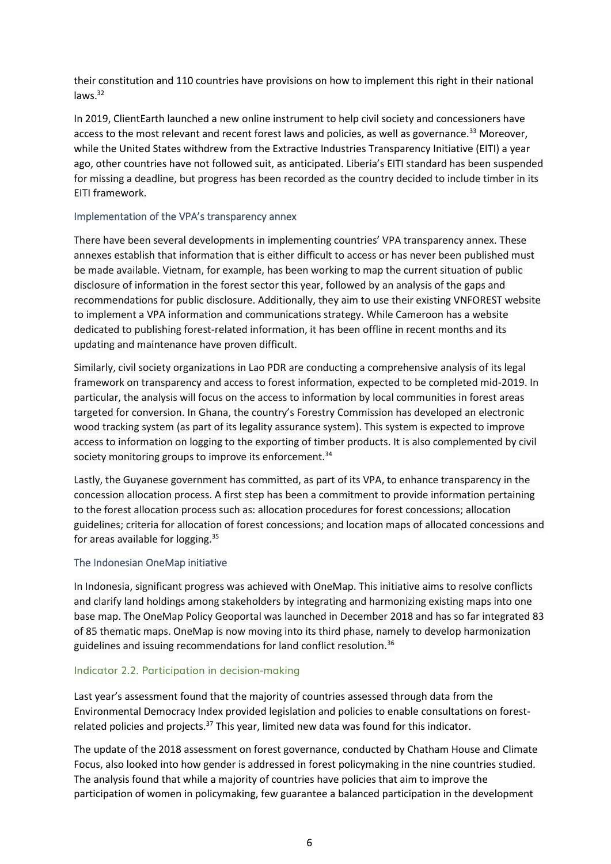their constitution and 110 countries have provisions on how to implement this right in their national laws.<sup>32</sup>

In 2019, ClientEarth launched a new online instrument to help civil society and concessioners have access to the most relevant and recent forest laws and policies, as well as governance.<sup>33</sup> Moreover, while the United States withdrew from the Extractive Industries Transparency Initiative (EITI) a year ago, other countries have not followed suit, as anticipated. Liberia's EITI standard has been suspended for missing a deadline, but progress has been recorded as the country decided to include timber in its EITI framework.

#### Implementation of the VPA's transparency annex

There have been several developments in implementing countries' VPA transparency annex. These annexes establish that information that is either difficult to access or has never been published must be made available. Vietnam, for example, has been working to map the current situation of public disclosure of information in the forest sector this year, followed by an analysis of the gaps and recommendations for public disclosure. Additionally, they aim to use their existing VNFOREST website to implement a VPA information and communications strategy. While Cameroon has a website dedicated to publishing forest-related information, it has been offline in recent months and its updating and maintenance have proven difficult.

Similarly, civil society organizations in Lao PDR are conducting a comprehensive analysis of its legal framework on transparency and access to forest information, expected to be completed mid-2019. In particular, the analysis will focus on the access to information by local communities in forest areas targeted for conversion. In Ghana, the country's Forestry Commission has developed an electronic wood tracking system (as part of its legality assurance system). This system is expected to improve access to information on logging to the exporting of timber products. It is also complemented by civil society monitoring groups to improve its enforcement.<sup>34</sup>

Lastly, the Guyanese government has committed, as part of its VPA, to enhance transparency in the concession allocation process. A first step has been a commitment to provide information pertaining to the forest allocation process such as: allocation procedures for forest concessions; allocation guidelines; criteria for allocation of forest concessions; and location maps of allocated concessions and for areas available for logging.<sup>35</sup>

#### The Indonesian OneMap initiative

In Indonesia, significant progress was achieved with OneMap. This initiative aims to resolve conflicts and clarify land holdings among stakeholders by integrating and harmonizing existing maps into one base map. The OneMap Policy Geoportal was launched in December 2018 and has so far integrated 83 of 85 thematic maps. OneMap is now moving into its third phase, namely to develop harmonization guidelines and issuing recommendations for land conflict resolution.<sup>36</sup>

#### Indicator 2.2. Participation in decision-making

Last year's assessment found that the majority of countries assessed through data from the Environmental Democracy Index provided legislation and policies to enable consultations on forestrelated policies and projects.<sup>37</sup> This year, limited new data was found for this indicator.

The update of the 2018 assessment on forest governance, conducted by Chatham House and Climate Focus, also looked into how gender is addressed in forest policymaking in the nine countries studied. The analysis found that while a majority of countries have policies that aim to improve the participation of women in policymaking, few guarantee a balanced participation in the development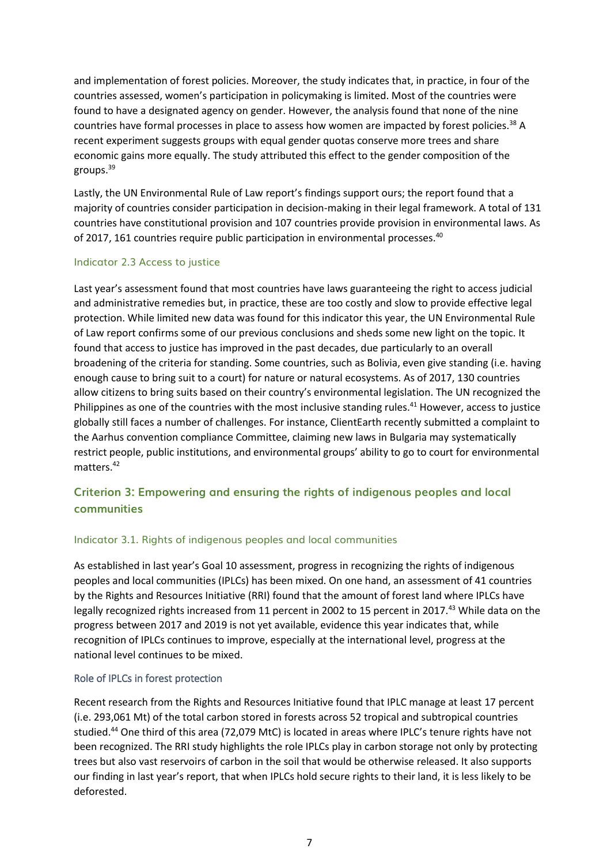and implementation of forest policies. Moreover, the study indicates that, in practice, in four of the countries assessed, women's participation in policymaking is limited. Most of the countries were found to have a designated agency on gender. However, the analysis found that none of the nine countries have formal processes in place to assess how women are impacted by forest policies.<sup>38</sup> A recent experiment suggests groups with equal gender quotas conserve more trees and share economic gains more equally. The study attributed this effect to the gender composition of the groups.<sup>39</sup>

Lastly, the UN Environmental Rule of Law report's findings support ours; the report found that a majority of countries consider participation in decision-making in their legal framework. A total of 131 countries have constitutional provision and 107 countries provide provision in environmental laws. As of 2017, 161 countries require public participation in environmental processes.<sup>40</sup>

#### Indicator 2.3 Access to justice

Last year's assessment found that most countries have laws guaranteeing the right to access judicial and administrative remedies but, in practice, these are too costly and slow to provide effective legal protection. While limited new data was found for this indicator this year, the UN Environmental Rule of Law report confirms some of our previous conclusions and sheds some new light on the topic. It found that access to justice has improved in the past decades, due particularly to an overall broadening of the criteria for standing. Some countries, such as Bolivia, even give standing (i.e. having enough cause to bring suit to a court) for nature or natural ecosystems. As of 2017, 130 countries allow citizens to bring suits based on their country's environmental legislation. The UN recognized the Philippines as one of the countries with the most inclusive standing rules.<sup>41</sup> However, access to justice globally still faces a number of challenges. For instance, ClientEarth recently submitted a complaint to the Aarhus convention compliance Committee, claiming new laws in Bulgaria may systematically restrict people, public institutions, and environmental groups' ability to go to court for environmental matters.<sup>42</sup>

## **Criterion 3: Empowering and ensuring the rights of indigenous peoples and local communities**

#### Indicator 3.1. Rights of indigenous peoples and local communities

As established in last year's Goal 10 assessment, progress in recognizing the rights of indigenous peoples and local communities (IPLCs) has been mixed. On one hand, an assessment of 41 countries by the Rights and Resources Initiative (RRI) found that the amount of forest land where IPLCs have legally recognized rights increased from 11 percent in 2002 to 15 percent in 2017.<sup>43</sup> While data on the progress between 2017 and 2019 is not yet available, evidence this year indicates that, while recognition of IPLCs continues to improve, especially at the international level, progress at the national level continues to be mixed.

#### Role of IPLCs in forest protection

Recent research from the Rights and Resources Initiative found that IPLC manage at least 17 percent (i.e. 293,061 Mt) of the total carbon stored in forests across 52 tropical and subtropical countries studied.<sup>44</sup> One third of this area (72,079 MtC) is located in areas where IPLC's tenure rights have not been recognized. The RRI study highlights the role IPLCs play in carbon storage not only by protecting trees but also vast reservoirs of carbon in the soil that would be otherwise released. It also supports our finding in last year's report, that when IPLCs hold secure rights to their land, it is less likely to be deforested.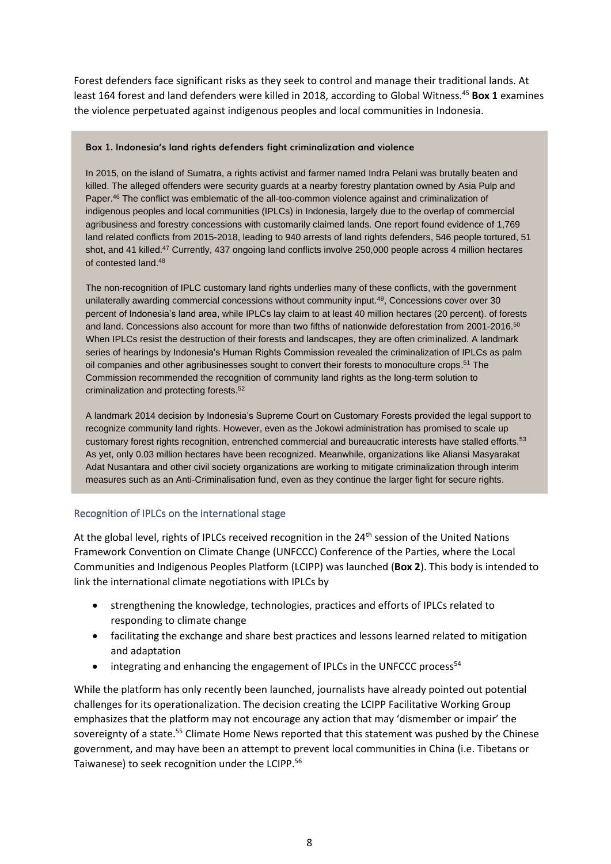Forest defenders face significant risks as they seek to control and manage their traditional lands. At least 164 forest and land defenders were killed in 2018, according to Global Witness.<sup>45</sup> **Box 1** examines the violence perpetuated against indigenous peoples and local communities in Indonesia.

#### **Box 1. Indonesia's land rights defenders fight criminalization and violence**

In 2015, on the island of Sumatra, a rights activist and farmer named Indra Pelani was brutally beaten and killed. The alleged offenders were security guards at a nearby forestry plantation owned by Asia Pulp and Paper.<sup>46</sup> The conflict was emblematic of the all-too-common violence against and criminalization of indigenous peoples and local communities (IPLCs) in Indonesia, largely due to the overlap of commercial agribusiness and forestry concessions with customarily claimed lands. One report found evidence of 1,769 land related conflicts from 2015-2018, leading to 940 arrests of land rights defenders, 546 people tortured, 51 shot, and 41 killed.<sup>47</sup> Currently, 437 ongoing land conflicts involve 250,000 people across 4 million hectares of contested land.<sup>48</sup>

The non-recognition of IPLC customary land rights underlies many of these conflicts, with the government unilaterally awarding commercial concessions without community input.<sup>49</sup>, Concessions cover over 30 percent of Indonesia's land area, while IPLCs lay claim to at least 40 million hectares (20 percent). of forests and land. Concessions also account for more than two fifths of nationwide deforestation from 2001-2016.<sup>50</sup> When IPLCs resist the destruction of their forests and landscapes, they are often criminalized. A landmark series of hearings by Indonesia's Human Rights Commission revealed the criminalization of IPLCs as palm oil companies and other agribusinesses sought to convert their forests to monoculture crops. <sup>51</sup> The Commission recommended the recognition of community land rights as the long-term solution to criminalization and protecting forests.<sup>52</sup>

A landmark 2014 decision by Indonesia's Supreme Court on Customary Forests provided the legal support to recognize community land rights. However, even as the Jokowi administration has promised to scale up customary forest rights recognition, entrenched commercial and bureaucratic interests have stalled efforts.<sup>53</sup> As yet, only 0.03 million hectares have been recognized. Meanwhile, organizations like Aliansi Masyarakat Adat Nusantara and other civil society organizations are working to mitigate criminalization through interim measures such as an Anti-Criminalisation fund, even as they continue the larger fight for secure rights.

#### Recognition of IPLCs on the international stage

At the global level, rights of IPLCs received recognition in the 24<sup>th</sup> session of the United Nations Framework Convention on Climate Change (UNFCCC) Conference of the Parties, where the Local Communities and Indigenous Peoples Platform (LCIPP) was launched (**Box 2**). This body is intended to link the international climate negotiations with IPLCs by

- strengthening the knowledge, technologies, practices and efforts of IPLCs related to responding to climate change
- facilitating the exchange and share best practices and lessons learned related to mitigation and adaptation
- integrating and enhancing the engagement of IPLCs in the UNFCCC process<sup>54</sup>

While the platform has only recently been launched, journalists have already pointed out potential challenges for its operationalization. The decision creating the LCIPP Facilitative Working Group emphasizes that the platform may not encourage any action that may 'dismember or impair' the sovereignty of a state.<sup>55</sup> Climate Home News reported that this statement was pushed by the Chinese government, and may have been an attempt to prevent local communities in China (i.e. Tibetans or Taiwanese) to seek recognition under the LCIPP.<sup>56</sup>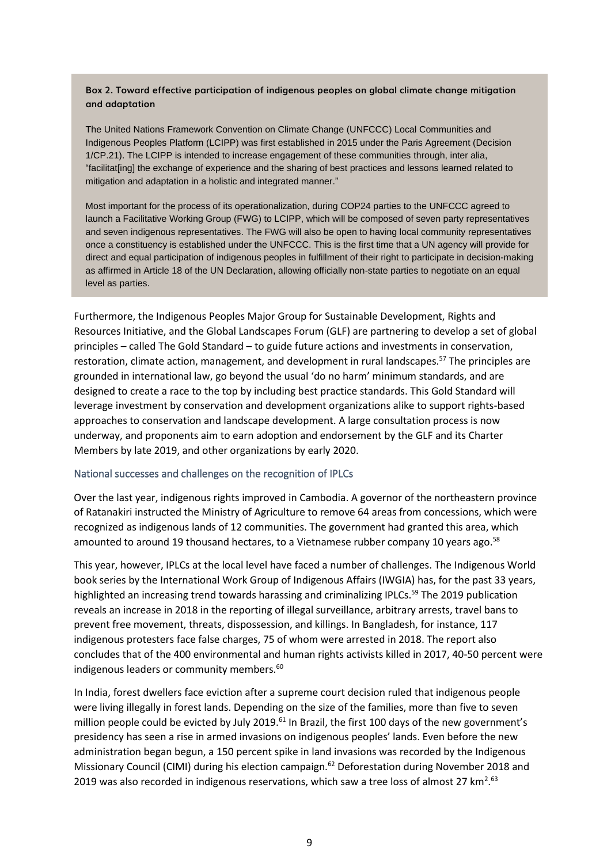#### **Box 2. Toward effective participation of indigenous peoples on global climate change mitigation and adaptation**

The United Nations Framework Convention on Climate Change (UNFCCC) Local Communities and Indigenous Peoples Platform (LCIPP) was first established in 2015 under the Paris Agreement (Decision 1/CP.21). The LCIPP is intended to increase engagement of these communities through, inter alia, "facilitat[ing] the exchange of experience and the sharing of best practices and lessons learned related to mitigation and adaptation in a holistic and integrated manner."

Most important for the process of its operationalization, during COP24 parties to the UNFCCC agreed to launch a Facilitative Working Group (FWG) to LCIPP, which will be composed of seven party representatives and seven indigenous representatives. The FWG will also be open to having local community representatives once a constituency is established under the UNFCCC. This is the first time that a UN agency will provide for direct and equal participation of indigenous peoples in fulfillment of their right to participate in decision-making as affirmed in Article 18 of the UN Declaration, allowing officially non-state parties to negotiate on an equal level as parties.

Furthermore, the Indigenous Peoples Major Group for Sustainable Development, Rights and Resources Initiative, and the Global Landscapes Forum (GLF) are partnering to develop a set of global principles – called The Gold Standard – to guide future actions and investments in conservation, restoration, climate action, management, and development in rural landscapes.<sup>57</sup> The principles are grounded in international law, go beyond the usual 'do no harm' minimum standards, and are designed to create a race to the top by including best practice standards. This Gold Standard will leverage investment by conservation and development organizations alike to support rights-based approaches to conservation and landscape development. A large consultation process is now underway, and proponents aim to earn adoption and endorsement by the GLF and its Charter Members by late 2019, and other organizations by early 2020.

#### National successes and challenges on the recognition of IPLCs

Over the last year, indigenous rights improved in Cambodia. A governor of the northeastern province of Ratanakiri instructed the Ministry of Agriculture to remove 64 areas from concessions, which were recognized as indigenous lands of 12 communities. The government had granted this area, which amounted to around 19 thousand hectares, to a Vietnamese rubber company 10 years ago.<sup>58</sup>

This year, however, IPLCs at the local level have faced a number of challenges. The Indigenous World book series by the International Work Group of Indigenous Affairs (IWGIA) has, for the past 33 years, highlighted an increasing trend towards harassing and criminalizing IPLCs.<sup>59</sup> The 2019 publication reveals an increase in 2018 in the reporting of illegal surveillance, arbitrary arrests, travel bans to prevent free movement, threats, dispossession, and killings. In Bangladesh, for instance, 117 indigenous protesters face false charges, 75 of whom were arrested in 2018. The report also concludes that of the 400 environmental and human rights activists killed in 2017, 40-50 percent were indigenous leaders or community members.<sup>60</sup>

In India, forest dwellers face eviction after a supreme court decision ruled that indigenous people were living illegally in forest lands. Depending on the size of the families, more than five to seven million people could be evicted by July 2019.<sup>61</sup> In Brazil, the first 100 days of the new government's presidency has seen a rise in armed invasions on indigenous peoples' lands. Even before the new administration began begun, a 150 percent spike in land invasions was recorded by the Indigenous Missionary Council (CIMI) during his election campaign.<sup>62</sup> Deforestation during November 2018 and 2019 was also recorded in indigenous reservations, which saw a tree loss of almost 27  $km<sup>2.63</sup>$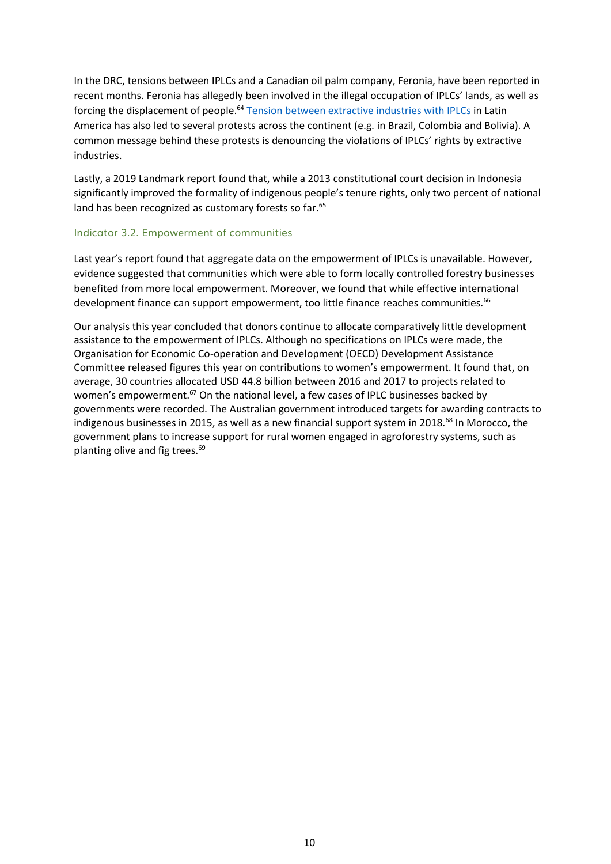In the DRC, tensions between IPLCs and a Canadian oil palm company, Feronia, have been reported in recent months. Feronia has allegedly been involved in the illegal occupation of IPLCs' lands, as well as forcing the displacement of people.<sup>64</sup> [Tension between extractive industries with IPLCs](forestdeclaration.org/goals/goal-3) in Latin America has also led to several protests across the continent (e.g. in Brazil, Colombia and Bolivia). A common message behind these protests is denouncing the violations of IPLCs' rights by extractive industries.

Lastly, a 2019 Landmark report found that, while a 2013 constitutional court decision in Indonesia significantly improved the formality of indigenous people's tenure rights, only two percent of national land has been recognized as customary forests so far.<sup>65</sup>

#### Indicator 3.2. Empowerment of communities

Last year's report found that aggregate data on the empowerment of IPLCs is unavailable. However, evidence suggested that communities which were able to form locally controlled forestry businesses benefited from more local empowerment. Moreover, we found that while effective international development finance can support empowerment, too little finance reaches communities.<sup>66</sup>

Our analysis this year concluded that donors continue to allocate comparatively little development assistance to the empowerment of IPLCs. Although no specifications on IPLCs were made, the Organisation for Economic Co-operation and Development (OECD) Development Assistance Committee released figures this year on contributions to women's empowerment. It found that, on average, 30 countries allocated USD 44.8 billion between 2016 and 2017 to projects related to women's empowerment.<sup>67</sup> On the national level, a few cases of IPLC businesses backed by governments were recorded. The Australian government introduced targets for awarding contracts to indigenous businesses in 2015, as well as a new financial support system in 2018.<sup>68</sup> In Morocco, the government plans to increase support for rural women engaged in agroforestry systems, such as planting olive and fig trees.69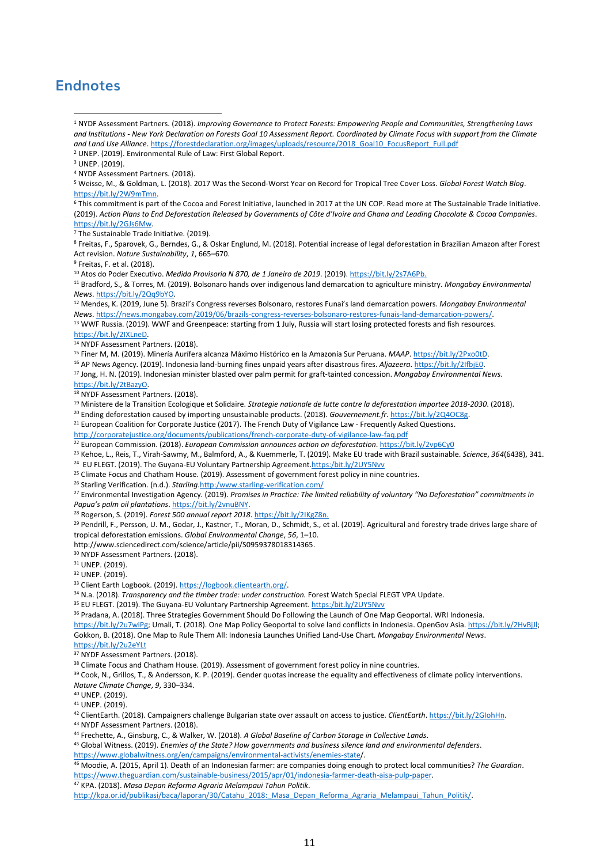## **Endnotes**

<sup>4</sup> NYDF Assessment Partners. (2018).

<sup>6</sup> This commitment is part of the Cocoa and Forest Initiative, launched in 2017 at the UN COP. Read more at The Sustainable Trade Initiative. (2019). *Action Plans to End Deforestation Released by Governments of Côte d'Ivoire and Ghana and Leading Chocolate & Cocoa Companies*. [https://bit.ly/2GJs6Mw.](https://bit.ly/2GJs6Mw)

 $\frac{1}{7}$  The Sustainable Trade Initiative. (2019).

<sup>8</sup> Freitas, F., Sparovek, G., Berndes, G., & Oskar Englund, M. (2018). Potential increase of legal deforestation in Brazilian Amazon after Forest Act revision. *Nature Sustainability*, *1*, 665–670.

<sup>9</sup> Freitas, F. et al. (2018).

<sup>10</sup> Atos do Poder Executivo. *Medida Provisoria N 870, de 1 Janeiro de 2019*. (2019)[. https://bit.ly/2s7A6Pb.](https://bit.ly/2s7A6Pb.)

<sup>11</sup> Bradford, S., & Torres, M. (2019). Bolsonaro hands over indigenous land demarcation to agriculture ministry. *Mongabay Environmental News*[. https://bit.ly/2Qq9bYO.](https://bit.ly/2Qq9bYO)

<sup>12</sup> Mendes, K. (2019, June 5). Brazil's Congress reverses Bolsonaro, restores Funai's land demarcation powers. *Mongabay Environmental News*[. https://news.mongabay.com/2019/06/brazils-congress-reverses-bolsonaro-restores-funais-land-demarcation-powers/.](https://news.mongabay.com/2019/06/brazils-congress-reverses-bolsonaro-restores-funais-land-demarcation-powers/) <sup>13</sup> WWF Russia. (2019). WWF and Greenpeace: starting from 1 July, Russia will start losing protected forests and fish resources.

[https://bit.ly/2IXLneD.](https://bit.ly/2IXLneD)

<sup>14</sup> NYDF Assessment Partners. (2018).

<sup>15</sup> Finer M, M. (2019). Minería Aurífera alcanza Máximo Histórico en la Amazonía Sur Peruana. *MAAP*[. https://bit.ly/2Pxo0tD.](https://bit.ly/2Pxo0tD)

<sup>16</sup> AP News Agency. (2019). Indonesia land-burning fines unpaid years after disastrous fires. *Aljazeera*[. https://bit.ly/2IfbjE0.](https://bit.ly/2IfbjE0)

<sup>17</sup> Jong, H. N. (2019). Indonesian minister blasted over palm permit for graft-tainted concession. *Mongabay Environmental News*. [https://bit.ly/2tBazyO.](https://bit.ly/2tBazyO)

<sup>18</sup> NYDF Assessment Partners. (2018).

<sup>19</sup> Ministere de la Transition Ecologique et Solidaire. *Strategie nationale de lutte contre la deforestation importee 2018-2030*. (2018).

<sup>20</sup> Ending deforestation caused by importing unsustainable products. (2018). *Gouvernement.fr*[. https://bit.ly/2Q4OC8g.](https://bit.ly/2Q4OC8g)

<sup>21</sup> European Coalition for Corporate Justice (2017). The French Duty of Vigilance Law - Frequently Asked Questions.

<http://corporatejustice.org/documents/publications/french-corporate-duty-of-vigilance-law-faq.pdf>

<sup>22</sup> European Commission. (2018). *European Commission announces action on deforestation*[. https://bit.ly/2vp6Cy0](https://bit.ly/2vp6Cy0)

<sup>23</sup> Kehoe, L., Reis, T., Virah-Sawmy, M., Balmford, A., & Kuemmerle, T. (2019). Make EU trade with Brazil sustainable. *Science*, *364*(6438), 341.

<sup>24</sup> EU FLEGT. (2019). The Guyana-EU Voluntary Partnership Agreement[.https:/bit.ly/2UY5Nvv](https://bit.ly/2UY5Nvv)

<sup>25</sup> Climate Focus and Chatham House. (2019). Assessment of government forest policy in nine countries.

<sup>26</sup> Starling Verification. (n.d.). *Starling*[.http:/www.starling-verification.com/](http://www.starling-verification.com/)

<sup>27</sup> Environmental Investigation Agency. (2019). *Promises in Practice: The limited reliability of voluntary "No Deforestation" commitments in Papua's palm oil plantations*[. https://bit.ly/2vnuBNY.](https://bit.ly/2vnuBNY)

<sup>28</sup> Rogerson, S. (2019). *Forest 500 annual report 2018*[. https://bit.ly/2IKgZ8n.](https://bit.ly/2IKgZ8n.)

<sup>29</sup> Pendrill, F., Persson, U. M., Godar, J., Kastner, T., Moran, D., Schmidt, S., et al. (2019). Agricultural and forestry trade drives large share of tropical deforestation emissions. *Global Environmental Change*, *56*, 1–10.

http://www.sciencedirect.com/science/article/pii/S0959378018314365.

<sup>30</sup> NYDF Assessment Partners. (2018).

<sup>31</sup> UNEP. (2019).

<sup>32</sup> UNEP. (2019).

<sup>33</sup> Client Earth Logbook. (2019)[. https://logbook.clientearth.org/.](https://logbook.clientearth.org/)

<sup>34</sup> N.a. (2018). *Transparency and the timber trade: under construction*. Forest Watch Special FLEGT VPA Update.

<sup>35</sup> EU FLEGT. (2019). The Guyana-EU Voluntary Partnership Agreement. [https:/bit.ly/2UY5Nvv](https://bit.ly/2UY5Nvv)

<sup>36</sup> Pradana, A. (2018). Three Strategies Government Should Do Following the Launch of One Map Geoportal. WRI Indonesia.

[https://bit.ly/2u7wiPg;](https://bit.ly/2u7wiPg) Umali, T. (2018). One Map Policy Geoportal to solve land conflicts in Indonesia. OpenGov Asia[. https://bit.ly/2HvBjJl;](https://bit.ly/2HvBjJl)

Gokkon, B. (2018). One Map to Rule Them All: Indonesia Launches Unified Land-Use Chart. *Mongabay Environmental News*. <https://bit.ly/2u2eYLt>

<sup>37</sup> NYDF Assessment Partners. (2018).

38 Climate Focus and Chatham House. (2019). Assessment of government forest policy in nine countries.

39 Cook, N., Grillos, T., & Andersson, K. P. (2019). Gender quotas increase the equality and effectiveness of climate policy interventions.

*Nature Climate Change*, *9*, 330–334. <sup>40</sup> UNEP. (2019).

<sup>41</sup> UNEP. (2019).

<sup>42</sup> ClientEarth. (2018). Campaigners challenge Bulgarian state over assault on access to justice. *ClientEarth*[. https://bit.ly/2GIohHn.](https://bit.ly/2GIohHn)

<sup>43</sup> NYDF Assessment Partners. (2018).

<sup>44</sup> Frechette, A., Ginsburg, C., & Walker, W. (2018). *A Global Baseline of Carbon Storage in Collective Lands*.

<sup>45</sup> Global Witness. (2019). *Enemies of the State? How governments and business silence land and environmental defenders*.

<https://www.globalwitness.org/en/campaigns/environmental-activists/enemies-state/>.

<sup>46</sup> Moodie, A. (2015, April 1). Death of an Indonesian farmer: are companies doing enough to protect local communities? *The Guardian*. [https://www.theguardian.com/sustainable-business/2015/apr/01/indonesia-farmer-death-aisa-pulp-paper.](https://www.theguardian.com/sustainable-business/2015/apr/01/indonesia-farmer-death-aisa-pulp-paper)

<sup>47</sup> KPA. (2018). *Masa Depan Reforma Agraria Melampaui Tahun Politik*.

http://kpa.or.id/publikasi/baca/laporan/30/Catahu\_2018: Masa Depan\_Reforma\_Agraria\_Melampaui\_Tahun\_Politik/.

<sup>1</sup> NYDF Assessment Partners. (2018). *Improving Governance to Protect Forests: Empowering People and Communities, Strengthening Laws and Institutions - New York Declaration on Forests Goal 10 Assessment Report. Coordinated by Climate Focus with support from the Climate and Land Use Alliance*. [https://forestdeclaration.org/images/uploads/resource/2018\\_Goal10\\_FocusReport\\_Full.pdf](https://forestdeclaration.org/images/uploads/resource/2018_Goal10_FocusReport_Full.pdf)

<sup>2</sup> UNEP. (2019). Environmental Rule of Law: First Global Report.

<sup>3</sup> UNEP. (2019).

<sup>5</sup> Weisse, M., & Goldman, L. (2018). 2017 Was the Second-Worst Year on Record for Tropical Tree Cover Loss. *Global Forest Watch Blog*. [https://bit.ly/2W9mTmn.](https://bit.ly/2W9mTmn)